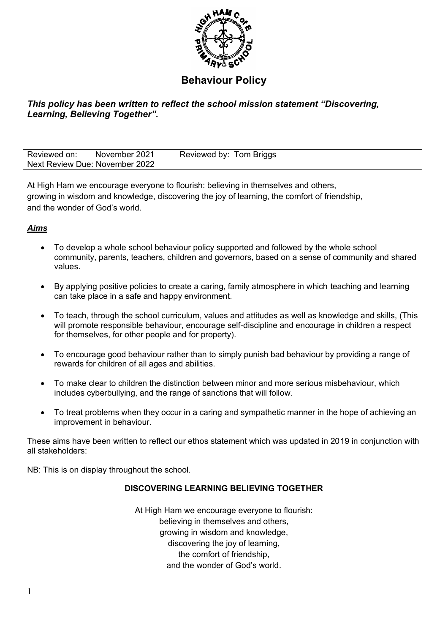

# **Behaviour Policy**

# *This policy has been written to reflect the school mission statement "Discovering, Learning, Believing Together".*

| Reviewed on:                   | November 2021 | Reviewed by: Tom Briggs |  |
|--------------------------------|---------------|-------------------------|--|
| Next Review Due: November 2022 |               |                         |  |

At High Ham we encourage everyone to flourish: believing in themselves and others, growing in wisdom and knowledge, discovering the joy of learning, the comfort of friendship, and the wonder of God's world.

# *Aims*

- To develop a whole school behaviour policy supported and followed by the whole school community, parents, teachers, children and governors, based on a sense of community and shared values.
- By applying positive policies to create a caring, family atmosphere in which teaching and learning can take place in a safe and happy environment.
- To teach, through the school curriculum, values and attitudes as well as knowledge and skills, (This will promote responsible behaviour, encourage self-discipline and encourage in children a respect for themselves, for other people and for property).
- To encourage good behaviour rather than to simply punish bad behaviour by providing a range of rewards for children of all ages and abilities.
- To make clear to children the distinction between minor and more serious misbehaviour, which includes cyberbullying, and the range of sanctions that will follow.
- To treat problems when they occur in a caring and sympathetic manner in the hope of achieving an improvement in behaviour.

These aims have been written to reflect our ethos statement which was updated in 2019 in conjunction with all stakeholders:

NB: This is on display throughout the school.

# **DISCOVERING LEARNING BELIEVING TOGETHER**

At High Ham we encourage everyone to flourish: believing in themselves and others, growing in wisdom and knowledge, discovering the joy of learning, the comfort of friendship, and the wonder of God's world.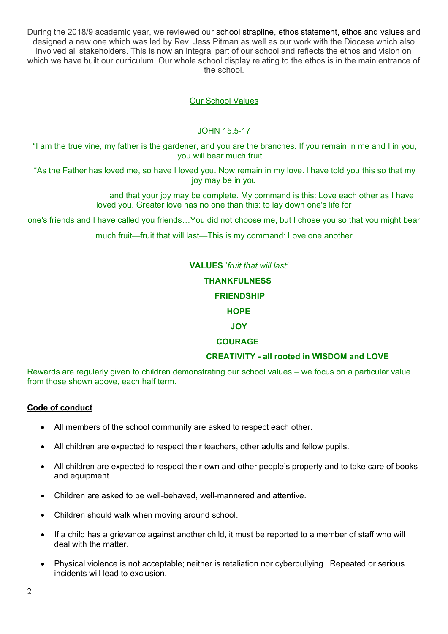During the 2018/9 academic year, we reviewed our school strapline, ethos statement, ethos and values and designed a new one which was led by Rev. Jess Pitman as well as our work with the Diocese which also involved all stakeholders. This is now an integral part of our school and reflects the ethos and vision on which we have built our curriculum. Our whole school display relating to the ethos is in the main entrance of the school.

# Our School Values

### JOHN 15.5-17

"I am the true vine, my father is the gardener, and you are the branches. If you remain in me and I in you, you will bear much fruit…

"As the Father has loved me, so have I loved you. Now remain in my love. I have told you this so that my joy may be in you

> and that your joy may be complete. My command is this: Love each other as I have loved you. Greater love has no one than this: to lay down one's life for

one's friends and I have called you friends…You did not choose me, but I chose you so that you might bear

much fruit—fruit that will last—This is my command: Love one another.

**VALUES** '*fruit that will last'*

### **THANKFULNESS**

#### **FRIENDSHIP**

## **HOPE**

# **JOY**

### **COURAGE**

### **CREATIVITY - all rooted in WISDOM and LOVE**

Rewards are regularly given to children demonstrating our school values – we focus on a particular value from those shown above, each half term.

### **Code of conduct**

- All members of the school community are asked to respect each other.
- All children are expected to respect their teachers, other adults and fellow pupils.
- All children are expected to respect their own and other people's property and to take care of books and equipment.
- Children are asked to be well-behaved, well-mannered and attentive.
- Children should walk when moving around school.
- If a child has a grievance against another child, it must be reported to a member of staff who will deal with the matter.
- Physical violence is not acceptable; neither is retaliation nor cyberbullying. Repeated or serious incidents will lead to exclusion.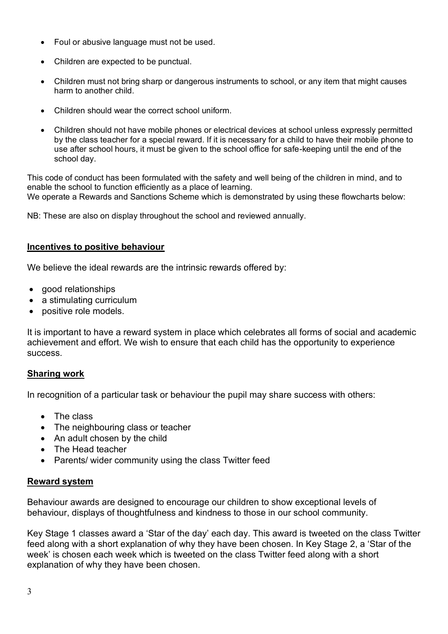- Foul or abusive language must not be used.
- Children are expected to be punctual.
- Children must not bring sharp or dangerous instruments to school, or any item that might causes harm to another child.
- Children should wear the correct school uniform.
- Children should not have mobile phones or electrical devices at school unless expressly permitted by the class teacher for a special reward. If it is necessary for a child to have their mobile phone to use after school hours, it must be given to the school office for safe-keeping until the end of the school day.

This code of conduct has been formulated with the safety and well being of the children in mind, and to enable the school to function efficiently as a place of learning. We operate a Rewards and Sanctions Scheme which is demonstrated by using these flowcharts below:

NB: These are also on display throughout the school and reviewed annually.

# **Incentives to positive behaviour**

We believe the ideal rewards are the intrinsic rewards offered by:

- good relationships
- a stimulating curriculum
- positive role models.

It is important to have a reward system in place which celebrates all forms of social and academic achievement and effort. We wish to ensure that each child has the opportunity to experience success.

# **Sharing work**

In recognition of a particular task or behaviour the pupil may share success with others:

- The class
- The neighbouring class or teacher
- An adult chosen by the child
- The Head teacher
- Parents/ wider community using the class Twitter feed

# **Reward system**

Behaviour awards are designed to encourage our children to show exceptional levels of behaviour, displays of thoughtfulness and kindness to those in our school community.

Key Stage 1 classes award a 'Star of the day' each day. This award is tweeted on the class Twitter feed along with a short explanation of why they have been chosen. In Key Stage 2, a 'Star of the week' is chosen each week which is tweeted on the class Twitter feed along with a short explanation of why they have been chosen.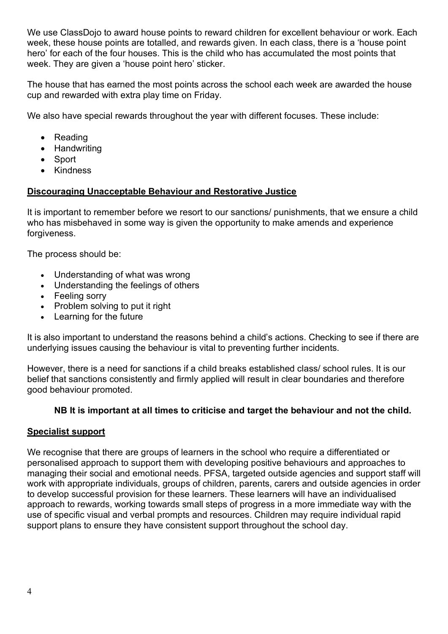We use ClassDojo to award house points to reward children for excellent behaviour or work. Each week, these house points are totalled, and rewards given. In each class, there is a 'house point hero' for each of the four houses. This is the child who has accumulated the most points that week. They are given a 'house point hero' sticker.

The house that has earned the most points across the school each week are awarded the house cup and rewarded with extra play time on Friday.

We also have special rewards throughout the year with different focuses. These include:

- Reading
- Handwriting
- Sport
- Kindness

# **Discouraging Unacceptable Behaviour and Restorative Justice**

It is important to remember before we resort to our sanctions/ punishments, that we ensure a child who has misbehaved in some way is given the opportunity to make amends and experience forgiveness.

The process should be:

- Understanding of what was wrong
- Understanding the feelings of others
- Feeling sorry
- Problem solving to put it right
- Learning for the future

It is also important to understand the reasons behind a child's actions. Checking to see if there are underlying issues causing the behaviour is vital to preventing further incidents.

However, there is a need for sanctions if a child breaks established class/ school rules. It is our belief that sanctions consistently and firmly applied will result in clear boundaries and therefore good behaviour promoted.

# **NB It is important at all times to criticise and target the behaviour and not the child.**

# **Specialist support**

We recognise that there are groups of learners in the school who require a differentiated or personalised approach to support them with developing positive behaviours and approaches to managing their social and emotional needs. PFSA, targeted outside agencies and support staff will work with appropriate individuals, groups of children, parents, carers and outside agencies in order to develop successful provision for these learners. These learners will have an individualised approach to rewards, working towards small steps of progress in a more immediate way with the use of specific visual and verbal prompts and resources. Children may require individual rapid support plans to ensure they have consistent support throughout the school day.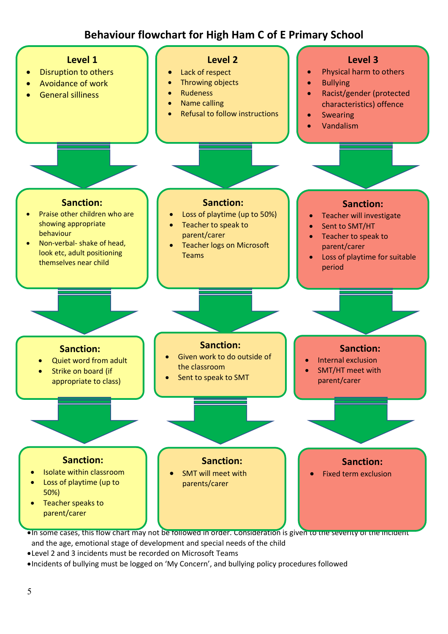# **Behaviour flowchart for High Ham C of E Primary School**



•In some cases, this flow chart may not be followed in order. Consideration is given to the severity of the incident and the age, emotional stage of development and special needs of the child

•Level 2 and 3 incidents must be recorded on Microsoft Teams

•Incidents of bullying must be logged on 'My Concern', and bullying policy procedures followed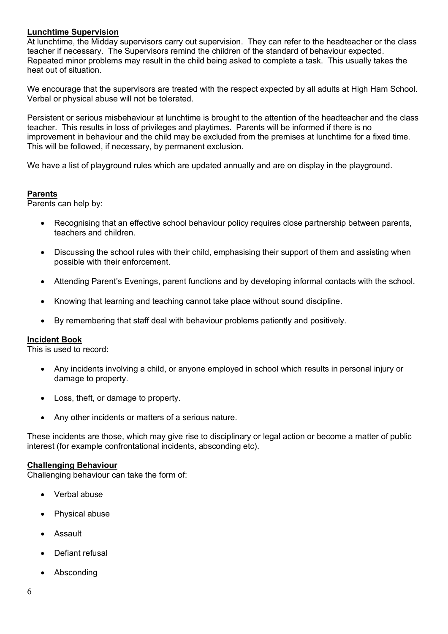### **Lunchtime Supervision**

At lunchtime, the Midday supervisors carry out supervision. They can refer to the headteacher or the class teacher if necessary. The Supervisors remind the children of the standard of behaviour expected. Repeated minor problems may result in the child being asked to complete a task. This usually takes the heat out of situation.

We encourage that the supervisors are treated with the respect expected by all adults at High Ham School. Verbal or physical abuse will not be tolerated.

Persistent or serious misbehaviour at lunchtime is brought to the attention of the headteacher and the class teacher. This results in loss of privileges and playtimes. Parents will be informed if there is no improvement in behaviour and the child may be excluded from the premises at lunchtime for a fixed time. This will be followed, if necessary, by permanent exclusion.

We have a list of playground rules which are updated annually and are on display in the playground.

# **Parents**

Parents can help by:

- Recognising that an effective school behaviour policy requires close partnership between parents, teachers and children.
- Discussing the school rules with their child, emphasising their support of them and assisting when possible with their enforcement.
- Attending Parent's Evenings, parent functions and by developing informal contacts with the school.
- Knowing that learning and teaching cannot take place without sound discipline.
- By remembering that staff deal with behaviour problems patiently and positively.

### **Incident Book**

This is used to record:

- Any incidents involving a child, or anyone employed in school which results in personal injury or damage to property.
- Loss, theft, or damage to property.
- Any other incidents or matters of a serious nature.

These incidents are those, which may give rise to disciplinary or legal action or become a matter of public interest (for example confrontational incidents, absconding etc).

### **Challenging Behaviour**

Challenging behaviour can take the form of:

- Verbal abuse
- Physical abuse
- Assault
- Defiant refusal
- **Absconding**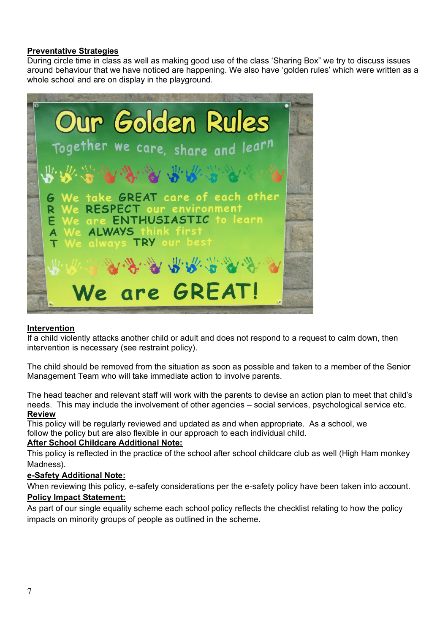### **Preventative Strategies**

During circle time in class as well as making good use of the class 'Sharing Box" we try to discuss issues around behaviour that we have noticed are happening. We also have 'golden rules' which were written as a whole school and are on display in the playground.



### **Intervention**

If a child violently attacks another child or adult and does not respond to a request to calm down, then intervention is necessary (see restraint policy).

The child should be removed from the situation as soon as possible and taken to a member of the Senior Management Team who will take immediate action to involve parents.

The head teacher and relevant staff will work with the parents to devise an action plan to meet that child's needs. This may include the involvement of other agencies – social services, psychological service etc. **Review**

This policy will be regularly reviewed and updated as and when appropriate. As a school, we follow the policy but are also flexible in our approach to each individual child.

### **After School Childcare Additional Note:**

This policy is reflected in the practice of the school after school childcare club as well (High Ham monkey Madness).

### **e-Safety Additional Note:**

When reviewing this policy, e-safety considerations per the e-safety policy have been taken into account. **Policy Impact Statement:** 

As part of our single equality scheme each school policy reflects the checklist relating to how the policy impacts on minority groups of people as outlined in the scheme.